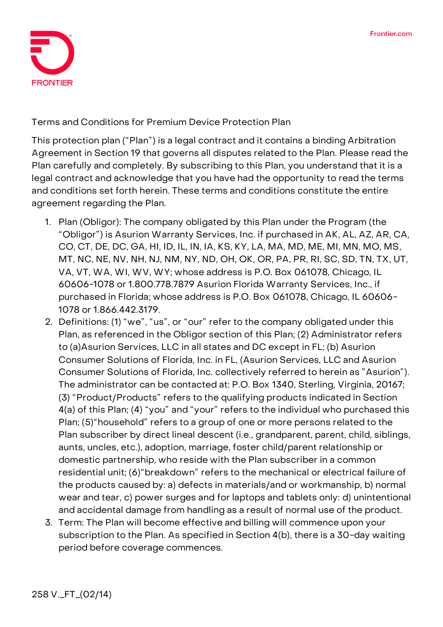

**Terms and Conditions for Premium Device Protection Plan**

This protection plan ("Plan") is a legal contract and it contains a binding Arbitration Agreement in Section 19 that governs all disputes related to the Plan. Please read the Plan carefully and completely. By subscribing to this Plan, you understand that it is a legal contract and acknowledge that you have had the opportunity to read the terms and conditions set forth herein. These terms and conditions constitute the entire agreement regarding the Plan.

- 1. **Plan (Obligor):** The company obligated by this Plan under the Program (the "Obligor") is Asurion Warranty Services, Inc. if purchased in AK, AL, AZ, AR, CA, CO, CT, DE, DC, GA, HI, ID, IL, IN, IA, KS, KY, LA, MA, MD, ME, MI, MN, MO, MS, MT, NC, NE, NV, NH, NJ, NM, NY, ND, OH, OK, OR, PA, PR, RI, SC, SD, TN, TX, UT, VA, VT, WA, WI, WV, WY; whose address is P.O. Box 061078, Chicago, IL 60606-1078 or 1.800.778.7879 Asurion Florida Warranty Services, Inc., if purchased in Florida; whose address is P.O. Box 061078, Chicago, IL 60606- 1078 or 1.866.442.3179.
- 2. **Definitions:** (1) "we", "us", or "our" refer to the company obligated under this Plan, as referenced in the Obligor section of this Plan; (2) Administrator refers to (a)Asurion Services, LLC in all states and DC except in FL; (b) Asurion Consumer Solutions of Florida, Inc. in FL, (Asurion Services, LLC and Asurion Consumer Solutions of Florida, Inc. collectively referred to herein as "Asurion"). The administrator can be contacted at: P.O. Box 1340, Sterling, Virginia, 20167; (3) "Product/Products" refers to the qualifying products indicated in Section 4(a) of this Plan; (4) "you" and "your" refers to the individual who purchased this Plan; (5)"household" refers to a group of one or more persons related to the Plan subscriber by direct lineal descent (i.e., grandparent, parent, child, siblings, aunts, uncles, etc.), adoption, marriage, foster child/parent relationship or domestic partnership, who reside with the Plan subscriber in a common residential unit; (6)"breakdown" refers to the mechanical or electrical failure of the products caused by: a) defects in materials/and or workmanship, b) normal wear and tear, c) power surges and **for laptops and tablets only:** d) unintentional and accidental damage from handling as a result of normal use of the product.
- 3. **Term:** The Plan will become effective and billing will commence upon your subscription to the Plan. **As specified in Section 4(b), there is a 30-day waiting period before coverage commences.**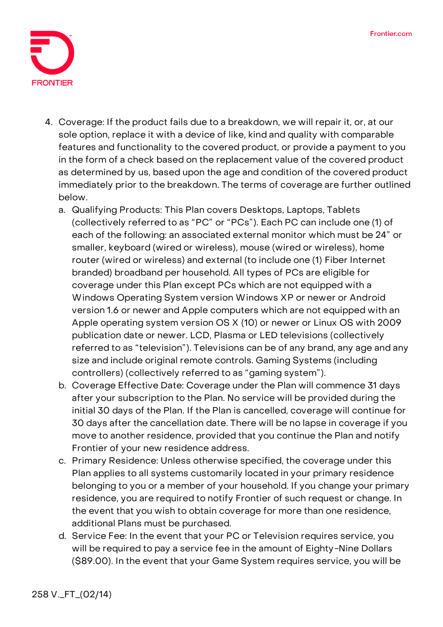

- 4. **Coverage:** If the product fails due to a breakdown, we will repair it, or, at our sole option, replace it with a device of like, kind and quality with comparable features and functionality to the covered product, or provide a payment to you in the form of a check based on the replacement value of the covered product as determined by us, based upon the age and condition of the covered product immediately prior to the breakdown. The terms of coverage are further outlined below.
	- a. **Qualifying Products:** This Plan covers Desktops, Laptops, Tablets (collectively referred to as "PC" or "PCs"). Each PC can include one (1) of each of the following: an associated external monitor which must be 24" or smaller, keyboard (wired or wireless), mouse (wired or wireless), home router (wired or wireless) and external (to include one (1) Fiber Internet branded) broadband per household. All types of PCs are eligible for coverage under this Plan except PCs which are not equipped with a Windows Operating System version Windows XP or newer or Android version 1.6 or newer and Apple computers which are not equipped with an Apple operating system version OS X (10) or newer or Linux OS with 2009 publication date or newer. LCD, Plasma or LED televisions (collectively referred to as "television"). Televisions can be of any brand, any age and any size and include original remote controls. Gaming Systems (including controllers) (collectively referred to as "gaming system").
	- b. **Coverage Effective Date: Coverage under the Plan will commence 31 days after your subscription to the Plan. No service will be provided during the initial 30 days of the Plan.** If the Plan is cancelled, coverage will continue for 30 days after the cancellation date. There will be no lapse in coverage if you move to another residence, provided that you continue the Plan and notify Frontier of your new residence address.
	- c. **Primary Residence:** Unless otherwise specified, the coverage under this Plan applies to all systems customarily located in your primary residence belonging to you or a member of your household. If you change your primary residence, you are required to notify Frontier of such request or change. In the event that you wish to obtain coverage for more than one residence, additional Plans must be purchased.
	- d. **Service Fee: In the event that your PC or Television requires service, you will be required to pay a service fee in the amount of Eighty-Nine Dollars (\$89.00). In the event that your Game System requires service, you will be**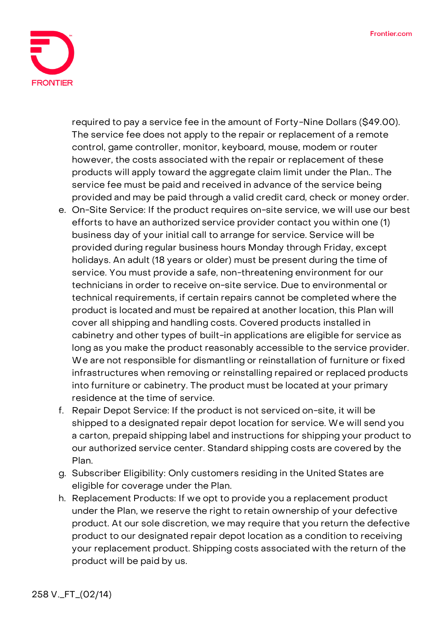

**required to pay a service fee in the amount of Forty-Nine Dollars (\$49.00).** The service fee does not apply to the repair or replacement of a remote control, game controller, monitor, keyboard, mouse, modem or router however, the costs associated with the repair or replacement of these products will apply toward the aggregate claim limit under the Plan.. The service fee must be paid and received in advance of the service being provided and may be paid through a valid credit card, check or money order.

- e. **On-Site Service:** If the product requires on-site service, we will use our best efforts to have an authorized service provider contact you within one (1) business day of your initial call to arrange for service. Service will be provided during regular business hours Monday through Friday, except holidays. An adult (18 years or older) must be present during the time of service. You must provide a safe, non-threatening environment for our technicians in order to receive on-site service. Due to environmental or technical requirements, if certain repairs cannot be completed where the product is located and must be repaired at another location, this Plan will cover all shipping and handling costs. Covered products installed in cabinetry and other types of built-in applications are eligible for service as long as you make the product reasonably accessible to the service provider. We are not responsible for dismantling or reinstallation of furniture or fixed infrastructures when removing or reinstalling repaired or replaced products into furniture or cabinetry. The product must be located at your primary residence at the time of service.
- f. **Repair Depot Service:** If the product is not serviced on-site, it will be shipped to a designated repair depot location for service. We will send you a carton, prepaid shipping label and instructions for shipping your product to our authorized service center. Standard shipping costs are covered by the Plan.
- g. **Subscriber Eligibility:** Only customers residing in the United States are eligible for coverage under the Plan.
- h. **Replacement Products:** If we opt to provide you a replacement product under the Plan, we reserve the right to retain ownership of your defective product. At our sole discretion, we may require that you return the defective product to our designated repair depot location as a condition to receiving your replacement product. Shipping costs associated with the return of the product will be paid by us.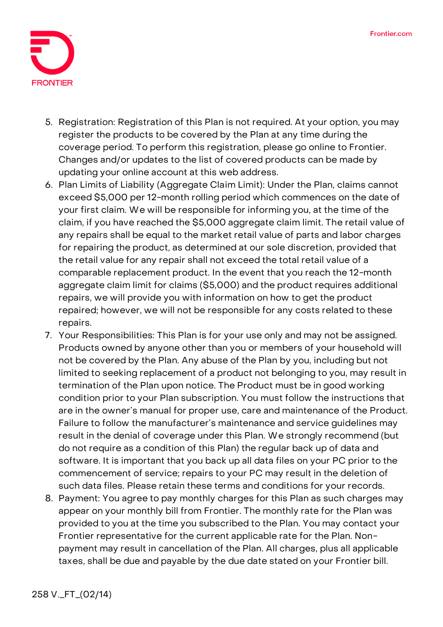

- 5. **Registration:** Registration of this Plan is not required. At your option, you may register the products to be covered by the Plan at any time during the coverage period. To perform this registration, please go online to Frontier. Changes and/or updates to the list of covered products can be made by updating your online account at this web address.
- 6. **Plan Limits of Liability (Aggregate Claim Limit):** Under the Plan, claims cannot exceed \$5,000 per 12-month rolling period which commences on the date of your first claim. We will be responsible for informing you, at the time of the claim, if you have reached the \$5,000 aggregate claim limit. The retail value of any repairs shall be equal to the market retail value of parts and labor charges for repairing the product, as determined at our sole discretion, provided that the retail value for any repair shall not exceed the total retail value of a comparable replacement product. In the event that you reach the 12-month aggregate claim limit for claims (\$5,000) and the product requires additional repairs, we will provide you with information on how to get the product repaired; however, we will not be responsible for any costs related to these repairs.
- 7. **Your Responsibilities:** This Plan is for your use only and may not be assigned. Products owned by anyone other than you or members of your household will not be covered by the Plan. Any abuse of the Plan by you, including but not limited to seeking replacement of a product not belonging to you, may result in termination of the Plan upon notice. The Product must be in good working condition prior to your Plan subscription. You must follow the instructions that are in the owner's manual for proper use, care and maintenance of the Product. Failure to follow the manufacturer's maintenance and service guidelines may result in the denial of coverage under this Plan. We strongly recommend (but do not require as a condition of this Plan) the regular back up of data and software. It is important that you back up all data files on your PC prior to the commencement of service; repairs to your PC may result in the deletion of such data files. Please retain these terms and conditions for your records.
- 8. **Payment:** You agree to pay monthly charges for this Plan as such charges may appear on your monthly bill from Frontier. The monthly rate for the Plan was provided to you at the time you subscribed to the Plan. You may contact your Frontier representative for the current applicable rate for the Plan. Nonpayment may result in cancellation of the Plan. All charges, plus all applicable taxes, shall be due and payable by the due date stated on your Frontier bill.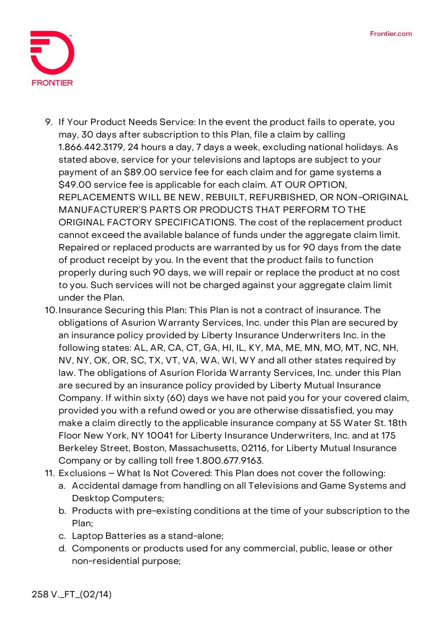

- 9. **If Your Product Needs Service:** In the event the product fails to operate, you may, 30 days after subscription to this Plan, file a claim by calling 1.866.442.3179, 24 hours a day, 7 days a week, excluding national holidays. As stated above, service for your televisions and laptops are subject to your payment of an \$89.00 service fee for each claim and for game systems a \$49.00 service fee is applicable for each claim. **AT OUR OPTION, REPLACEMENTS WILL BE NEW, REBUILT, REFURBISHED, OR NON-ORIGINAL MANUFACTURER'S PARTS OR PRODUCTS THAT PERFORM TO THE ORIGINAL FACTORY SPECIFICATIONS.** The cost of the replacement product cannot exceed the available balance of funds under the aggregate claim limit. Repaired or replaced products are warranted by us for 90 days from the date of product receipt by you. In the event that the product fails to function properly during such 90 days, we will repair or replace the product at no cost to you. Such services will not be charged against your aggregate claim limit under the Plan.
- 10.**Insurance Securing this Plan:** This Plan is not a contract of insurance. The obligations of Asurion Warranty Services, Inc. under this Plan are secured by an insurance policy provided by Liberty Insurance Underwriters Inc. in the following states: AL, AR, CA, CT, GA, HI, IL, KY, MA, ME, MN, MO, MT, NC, NH, NV, NY, OK, OR, SC, TX, VT, VA, WA, WI, WY and all other states required by law. The obligations of Asurion Florida Warranty Services, Inc. under this Plan are secured by an insurance policy provided by Liberty Mutual Insurance Company. If within sixty (60) days we have not paid you for your covered claim, provided you with a refund owed or you are otherwise dissatisfied, you may make a claim directly to the applicable insurance company at 55 Water St. 18th Floor New York, NY 10041 for Liberty Insurance Underwriters, Inc. and at 175 Berkeley Street, Boston, Massachusetts, 02116, for Liberty Mutual Insurance Company or by calling toll free 1.800.677.9163.
- 11. **Exclusions – What Is Not Covered:** This Plan does not cover the following:
	- a. Accidental damage from handling on all Televisions and Game Systems and Desktop Computers;
	- b. Products with pre-existing conditions at the time of your subscription to the Plan;
	- c. Laptop Batteries as a stand-alone;
	- d. Components or products used for any commercial, public, lease or other non-residential purpose;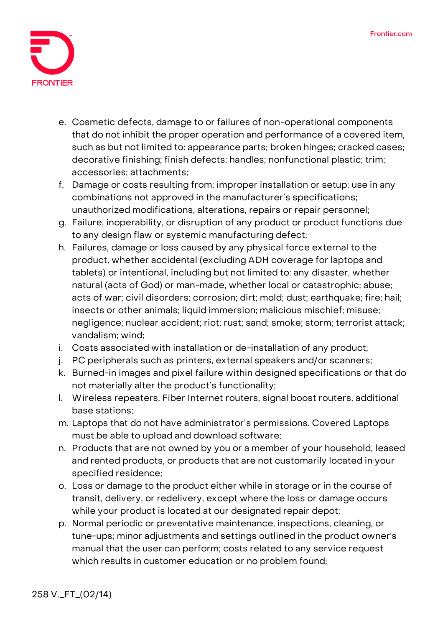

- e. Cosmetic defects, damage to or failures of non-operational components that do not inhibit the proper operation and performance of a covered item, such as but not limited to: appearance parts; broken hinges; cracked cases; decorative finishing; finish defects; handles; nonfunctional plastic; trim; accessories; attachments;
- f. Damage or costs resulting from: improper installation or setup; use in any combinations not approved in the manufacturer's specifications; unauthorized modifications, alterations, repairs or repair personnel;
- g. Failure, inoperability, or disruption of any product or product functions due to any design flaw or systemic manufacturing defect;
- h. Failures, damage or loss caused by any physical force external to the product, whether accidental (excluding ADH coverage for laptops and tablets) or intentional, including but not limited to: any disaster, whether natural (acts of God) or man-made, whether local or catastrophic; abuse; acts of war; civil disorders; corrosion; dirt; mold; dust; earthquake; fire; hail; insects or other animals; liquid immersion; malicious mischief; misuse; negligence; nuclear accident; riot; rust; sand; smoke; storm; terrorist attack; vandalism; wind;
- i. Costs associated with installation or de-installation of any product;
- j. PC peripherals such as printers, external speakers and/or scanners;
- k. Burned-in images and pixel failure within designed specifications or that do not materially alter the product's functionality;
- l. Wireless repeaters, Fiber Internet routers, signal boost routers, additional base stations;
- m. Laptops that do not have administrator's permissions. Covered Laptops must be able to upload and download software;
- n. Products that are not owned by you or a member of your household, leased and rented products, or products that are not customarily located in your specified residence;
- o. Loss or damage to the product either while in storage or in the course of transit, delivery, or redelivery, except where the loss or damage occurs while your product is located at our designated repair depot;
- p. Normal periodic or preventative maintenance, inspections, cleaning, or tune-ups; minor adjustments and settings outlined in the product owner's manual that the user can perform; costs related to any service request which results in customer education or no problem found;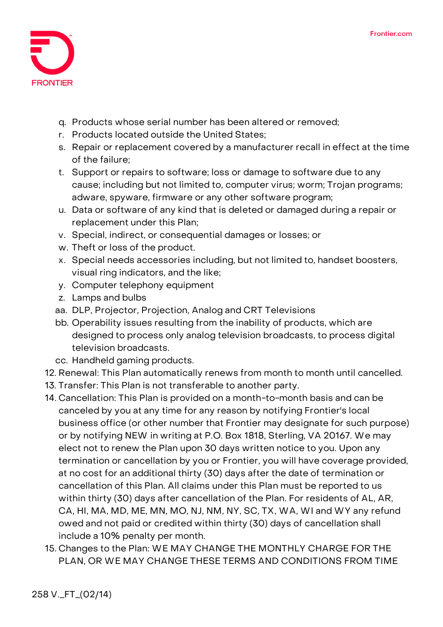

- q. Products whose serial number has been altered or removed;
- r. Products located outside the United States;
- s. Repair or replacement covered by a manufacturer recall in effect at the time of the failure;
- t. Support or repairs to software; loss or damage to software due to any cause; including but not limited to, computer virus; worm; Trojan programs; adware, spyware, firmware or any other software program;
- u. Data or software of any kind that is deleted or damaged during a repair or replacement under this Plan;
- v. Special, indirect, or consequential damages or losses; or
- w. Theft or loss of the product.
- x. Special needs accessories including, but not limited to, handset boosters, visual ring indicators, and the like;
- y. Computer telephony equipment
- z. Lamps and bulbs
- aa. DLP, Projector, Projection, Analog and CRT Televisions
- bb. Operability issues resulting from the inability of products, which are designed to process only analog television broadcasts, to process digital television broadcasts.
- cc. Handheld gaming products.
- 12. **Renewal:** This Plan automatically renews from month to month until cancelled.
- 13. **Transfer:** This Plan is not transferable to another party.
- 14. **Cancellation:** This Plan is provided on a month-to-month basis and can be canceled by you at any time for any reason by notifying Frontier's local business office (or other number that Frontier may designate for such purpose) or by notifying NEW in writing at P.O. Box 1818, Sterling, VA 20167. We may elect not to renew the Plan upon 30 days written notice to you. Upon any termination or cancellation by you or Frontier, you will have coverage provided, at no cost for an additional thirty (30) days after the date of termination or cancellation of this Plan. All claims under this Plan must be reported to us within thirty (30) days after cancellation of the Plan. For residents of AL, AR, CA, HI, MA, MD, ME, MN, MO, NJ, NM, NY, SC, TX, WA, WI and WY any refund owed and not paid or credited within thirty (30) days of cancellation shall include a 10% penalty per month.
- 15. **Changes to the Plan:** WE MAY CHANGE THE MONTHLY CHARGE FOR THE PLAN, OR WE MAY CHANGE THESE TERMS AND CONDITIONS FROM TIME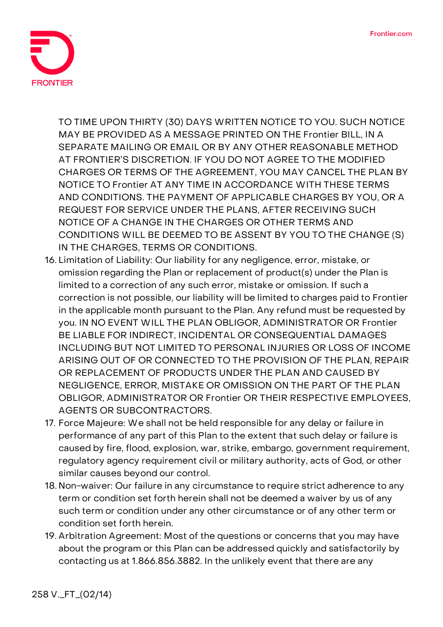

TO TIME UPON THIRTY (30) DAYS WRITTEN NOTICE TO YOU. SUCH NOTICE MAY BE PROVIDED AS A MESSAGE PRINTED ON THE Frontier BILL, IN A SEPARATE MAILING OR EMAIL OR BY ANY OTHER REASONABLE METHOD AT FRONTIER'S DISCRETION. IF YOU DO NOT AGREE TO THE MODIFIED CHARGES OR TERMS OF THE AGREEMENT, YOU MAY CANCEL THE PLAN BY NOTICE TO Frontier AT ANY TIME IN ACCORDANCE WITH THESE TERMS AND CONDITIONS. THE PAYMENT OF APPLICABLE CHARGES BY YOU, OR A REQUEST FOR SERVICE UNDER THE PLANS, AFTER RECEIVING SUCH NOTICE OF A CHANGE IN THE CHARGES OR OTHER TERMS AND CONDITIONS WILL BE DEEMED TO BE ASSENT BY YOU TO THE CHANGE (S) IN THE CHARGES, TERMS OR CONDITIONS.

- 16. **Limitation of Liability:** Our liability for any negligence, error, mistake, or omission regarding the Plan or replacement of product(s) under the Plan is limited to a correction of any such error, mistake or omission. If such a correction is not possible, our liability will be limited to charges paid to Frontier in the applicable month pursuant to the Plan. Any refund must be requested by you. IN NO EVENT WILL THE PLAN OBLIGOR, ADMINISTRATOR OR Frontier BE LIABLE FOR INDIRECT, INCIDENTAL OR CONSEQUENTIAL DAMAGES INCLUDING BUT NOT LIMITED TO PERSONAL INJURIES OR LOSS OF INCOME ARISING OUT OF OR CONNECTED TO THE PROVISION OF THE PLAN, REPAIR OR REPLACEMENT OF PRODUCTS UNDER THE PLAN AND CAUSED BY NEGLIGENCE, ERROR, MISTAKE OR OMISSION ON THE PART OF THE PLAN OBLIGOR, ADMINISTRATOR OR Frontier OR THEIR RESPECTIVE EMPLOYEES, AGENTS OR SUBCONTRACTORS.
- 17. **Force Majeure:** We shall not be held responsible for any delay or failure in performance of any part of this Plan to the extent that such delay or failure is caused by fire, flood, explosion, war, strike, embargo, government requirement, regulatory agency requirement civil or military authority, acts of God, or other similar causes beyond our control.
- 18. **Non-waiver:** Our failure in any circumstance to require strict adherence to any term or condition set forth herein shall not be deemed a waiver by us of any such term or condition under any other circumstance or of any other term or condition set forth herein.
- 19. **Arbitration Agreement:** Most of the questions or concerns that you may have about the program or this Plan can be addressed quickly and satisfactorily by contacting us at 1.866.856.3882. In the unlikely event that there are any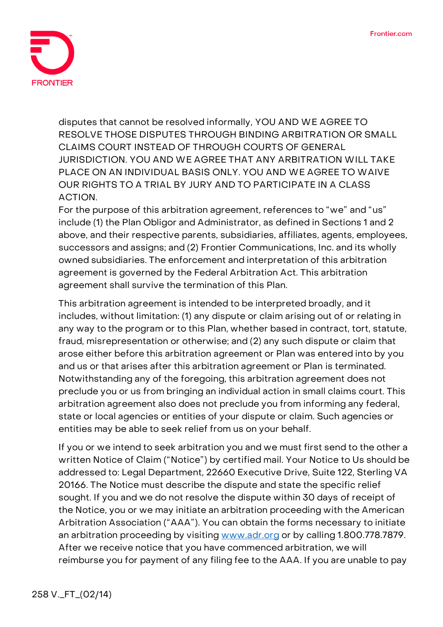

disputes that cannot be resolved informally, **YOU AND WE AGREE TO RESOLVE THOSE DISPUTES THROUGH BINDING ARBITRATION OR SMALL CLAIMS COURT INSTEAD OF THROUGH COURTS OF GENERAL JURISDICTION. YOU AND WE AGREE THAT ANY ARBITRATION WILL TAKE PLACE ON AN INDIVIDUAL BASIS ONLY. YOU AND WE AGREE TO WAIVE OUR RIGHTS TO A TRIAL BY JURY AND TO PARTICIPATE IN A CLASS ACTION.**

For the purpose of this arbitration agreement, references to "we" and "us" include (1) the Plan Obligor and Administrator, as defined in Sections 1 and 2 above, and their respective parents, subsidiaries, affiliates, agents, employees, successors and assigns; and (2) Frontier Communications, Inc. and its wholly owned subsidiaries. The enforcement and interpretation of this arbitration agreement is governed by the Federal Arbitration Act. This arbitration agreement shall survive the termination of this Plan.

This arbitration agreement is intended to be interpreted broadly, and it includes, without limitation: (1) any dispute or claim arising out of or relating in any way to the program or to this Plan, whether based in contract, tort, statute, fraud, misrepresentation or otherwise; and (2) any such dispute or claim that arose either before this arbitration agreement or Plan was entered into by you and us or that arises after this arbitration agreement or Plan is terminated. Notwithstanding any of the foregoing, this arbitration agreement does not preclude you or us from bringing an individual action in small claims court. This arbitration agreement also does not preclude you from informing any federal, state or local agencies or entities of your dispute or claim. Such agencies or entities may be able to seek relief from us on your behalf.

If you or we intend to seek arbitration you and we must first send to the other a written Notice of Claim ("Notice") by certified mail. Your Notice to Us should be addressed to: Legal Department, 22660 Executive Drive, Suite 122, Sterling VA 20166. The Notice must describe the dispute and state the specific relief sought. If you and we do not resolve the dispute within 30 days of receipt of the Notice, you or we may initiate an arbitration proceeding with the American Arbitration Association ("AAA"). You can obtain the forms necessary to initiate an arbitration proceeding by visiting [www.adr.org](http://www.adr.org/) or by calling 1.800.778.7879. After we receive notice that you have commenced arbitration, we will reimburse you for payment of any filing fee to the AAA. If you are unable to pay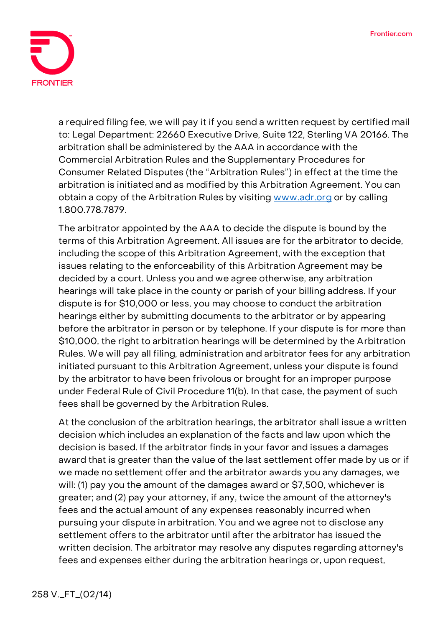

a required filing fee, we will pay it if you send a written request by certified mail to: Legal Department: 22660 Executive Drive, Suite 122, Sterling VA 20166. The arbitration shall be administered by the AAA in accordance with the Commercial Arbitration Rules and the Supplementary Procedures for Consumer Related Disputes (the "Arbitration Rules") in effect at the time the arbitration is initiated and as modified by this Arbitration Agreement. You can obtain a copy of the Arbitration Rules by visiting [www.adr.org](http://www.adr.org/) or by calling 1.800.778.7879.

The arbitrator appointed by the AAA to decide the dispute is bound by the terms of this Arbitration Agreement. All issues are for the arbitrator to decide, including the scope of this Arbitration Agreement, with the exception that issues relating to the enforceability of this Arbitration Agreement may be decided by a court. Unless you and we agree otherwise, any arbitration hearings will take place in the county or parish of your billing address. If your dispute is for \$10,000 or less, you may choose to conduct the arbitration hearings either by submitting documents to the arbitrator or by appearing before the arbitrator in person or by telephone. If your dispute is for more than \$10,000, the right to arbitration hearings will be determined by the Arbitration Rules. We will pay all filing, administration and arbitrator fees for any arbitration initiated pursuant to this Arbitration Agreement, unless your dispute is found by the arbitrator to have been frivolous or brought for an improper purpose under Federal Rule of Civil Procedure 11(b). In that case, the payment of such fees shall be governed by the Arbitration Rules.

At the conclusion of the arbitration hearings, the arbitrator shall issue a written decision which includes an explanation of the facts and law upon which the decision is based. If the arbitrator finds in your favor and issues a damages award that is greater than the value of the last settlement offer made by us or if we made no settlement offer and the arbitrator awards you any damages, we will: (1) pay you the amount of the damages award or \$7,500, whichever is greater; and (2) pay your attorney, if any, twice the amount of the attorney's fees and the actual amount of any expenses reasonably incurred when pursuing your dispute in arbitration. You and we agree not to disclose any settlement offers to the arbitrator until after the arbitrator has issued the written decision. The arbitrator may resolve any disputes regarding attorney's fees and expenses either during the arbitration hearings or, upon request,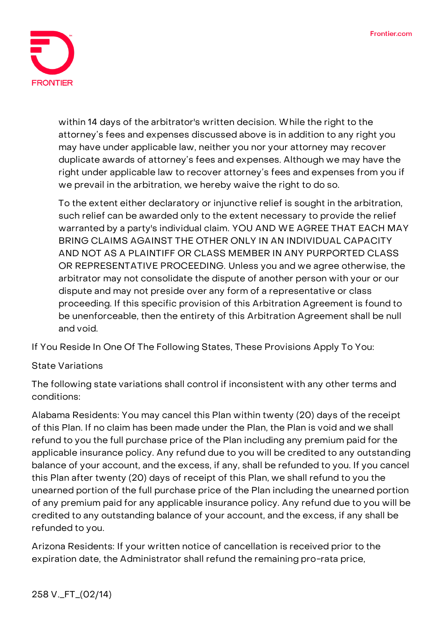

within 14 days of the arbitrator's written decision. While the right to the attorney's fees and expenses discussed above is in addition to any right you may have under applicable law, neither you nor your attorney may recover duplicate awards of attorney's fees and expenses. Although we may have the right under applicable law to recover attorney's fees and expenses from you if we prevail in the arbitration, we hereby waive the right to do so.

To the extent either declaratory or injunctive relief is sought in the arbitration, such relief can be awarded only to the extent necessary to provide the relief warranted by a party's individual claim. **YOU AND WE AGREE THAT EACH MAY BRING CLAIMS AGAINST THE OTHER ONLY IN AN INDIVIDUAL CAPACITY AND NOT AS A PLAINTIFF OR CLASS MEMBER IN ANY PURPORTED CLASS OR REPRESENTATIVE PROCEEDING.** Unless you and we agree otherwise, the arbitrator may not consolidate the dispute of another person with your or our dispute and may not preside over any form of a representative or class proceeding. If this specific provision of this Arbitration Agreement is found to be unenforceable, then the entirety of this Arbitration Agreement shall be null and void.

**If You Reside In One Of The Following States, These Provisions Apply To You:**

## **State Variations**

The following state variations shall control if inconsistent with any other terms and conditions:

**Alabama Residents:** You may cancel this Plan within twenty (20) days of the receipt of this Plan. If no claim has been made under the Plan, the Plan is void and we shall refund to you the full purchase price of the Plan including any premium paid for the applicable insurance policy. Any refund due to you will be credited to any outstanding balance of your account, and the excess, if any, shall be refunded to you. If you cancel this Plan after twenty (20) days of receipt of this Plan, we shall refund to you the unearned portion of the full purchase price of the Plan including the unearned portion of any premium paid for any applicable insurance policy. Any refund due to you will be credited to any outstanding balance of your account, and the excess, if any shall be refunded to you.

**Arizona Residents:** If your written notice of cancellation is received prior to the expiration date, the Administrator shall refund the remaining pro-rata price,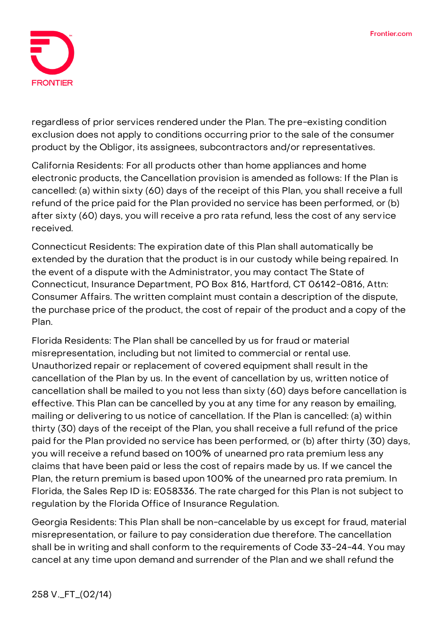

regardless of prior services rendered under the Plan. The pre-existing condition exclusion does not apply to conditions occurring prior to the sale of the consumer product by the Obligor, its assignees, subcontractors and/or representatives.

**California Residents:** For all products other than home appliances and home electronic products, the Cancellation provision is amended as follows: If the Plan is cancelled: (a) within sixty (60) days of the receipt of this Plan, you shall receive a full refund of the price paid for the Plan provided no service has been performed, or (b) after sixty (60) days, you will receive a pro rata refund, less the cost of any service received.

**Connecticut Residents:** The expiration date of this Plan shall automatically be extended by the duration that the product is in our custody while being repaired. In the event of a dispute with the Administrator, you may contact The State of Connecticut, Insurance Department, PO Box 816, Hartford, CT 06142-0816, Attn: Consumer Affairs. The written complaint must contain a description of the dispute, the purchase price of the product, the cost of repair of the product and a copy of the Plan.

**Florida Residents:** The Plan shall be cancelled by us for fraud or material misrepresentation, including but not limited to commercial or rental use. Unauthorized repair or replacement of covered equipment shall result in the cancellation of the Plan by us. In the event of cancellation by us, written notice of cancellation shall be mailed to you not less than sixty (60) days before cancellation is effective. This Plan can be cancelled by you at any time for any reason by emailing, mailing or delivering to us notice of cancellation. If the Plan is cancelled: (a) within thirty (30) days of the receipt of the Plan, you shall receive a full refund of the price paid for the Plan provided no service has been performed, or (b) after thirty (30) days, you will receive a refund based on 100% of unearned pro rata premium less any claims that have been paid or less the cost of repairs made by us. If we cancel the Plan, the return premium is based upon 100% of the unearned pro rata premium. In Florida, the Sales Rep ID is: E058336. The rate charged for this Plan is not subject to regulation by the Florida Office of Insurance Regulation.

**Georgia Residents:** This Plan shall be non-cancelable by us except for fraud, material misrepresentation, or failure to pay consideration due therefore. The cancellation shall be in writing and shall conform to the requirements of Code 33-24-44. You may cancel at any time upon demand and surrender of the Plan and we shall refund the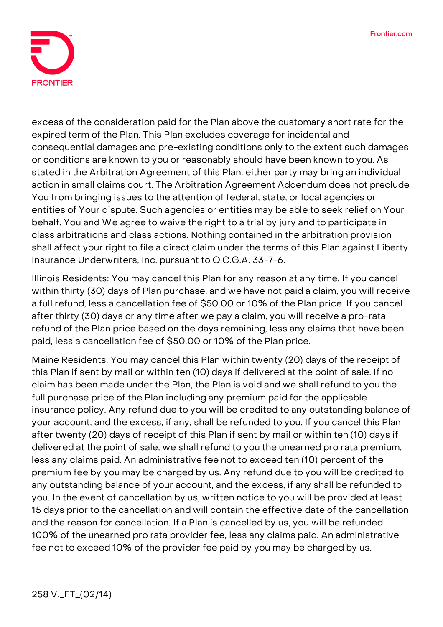

excess of the consideration paid for the Plan above the customary short rate for the expired term of the Plan. This Plan excludes coverage for incidental and consequential damages and pre-existing conditions only to the extent such damages or conditions are known to you or reasonably should have been known to you. As stated in the Arbitration Agreement of this Plan, either party may bring an individual action in small claims court. The Arbitration Agreement Addendum does not preclude You from bringing issues to the attention of federal, state, or local agencies or entities of Your dispute. Such agencies or entities may be able to seek relief on Your behalf. You and We agree to waive the right to a trial by jury and to participate in class arbitrations and class actions. Nothing contained in the arbitration provision shall affect your right to file a direct claim under the terms of this Plan against Liberty Insurance Underwriters, Inc. pursuant to O.C.G.A. 33-7-6.

**Illinois Residents:** You may cancel this Plan for any reason at any time. If you cancel within thirty (30) days of Plan purchase, and we have not paid a claim, you will receive a full refund, less a cancellation fee of \$50.00 or 10% of the Plan price. If you cancel after thirty (30) days or any time after we pay a claim, you will receive a pro-rata refund of the Plan price based on the days remaining, less any claims that have been paid, less a cancellation fee of \$50.00 or 10% of the Plan price.

**Maine Residents:** You may cancel this Plan within twenty (20) days of the receipt of this Plan if sent by mail or within ten (10) days if delivered at the point of sale. If no claim has been made under the Plan, the Plan is void and we shall refund to you the full purchase price of the Plan including any premium paid for the applicable insurance policy. Any refund due to you will be credited to any outstanding balance of your account, and the excess, if any, shall be refunded to you. If you cancel this Plan after twenty (20) days of receipt of this Plan if sent by mail or within ten (10) days if delivered at the point of sale, we shall refund to you the unearned pro rata premium, less any claims paid. An administrative fee not to exceed ten (10) percent of the premium fee by you may be charged by us. Any refund due to you will be credited to any outstanding balance of your account, and the excess, if any shall be refunded to you. In the event of cancellation by us, written notice to you will be provided at least 15 days prior to the cancellation and will contain the effective date of the cancellation and the reason for cancellation. If a Plan is cancelled by us, you will be refunded 100% of the unearned pro rata provider fee, less any claims paid. An administrative fee not to exceed 10% of the provider fee paid by you may be charged by us.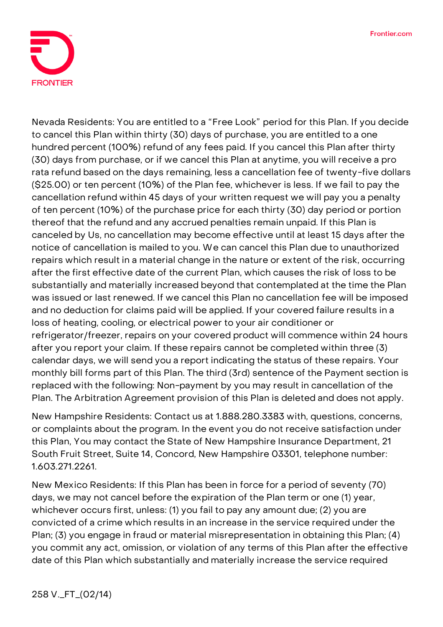

Nevada Residents: You are entitled to a "Free Look" period for this Plan. If you decide to cancel this Plan within thirty (30) days of purchase, you are entitled to a one hundred percent (100%) refund of any fees paid. If you cancel this Plan after thirty (30) days from purchase, or if we cancel this Plan at anytime, you will receive a pro rata refund based on the days remaining, less a cancellation fee of twenty-five dollars (\$25.00) or ten percent (10%) of the Plan fee, whichever is less. If we fail to pay the cancellation refund within 45 days of your written request we will pay you a penalty of ten percent (10%) of the purchase price for each thirty (30) day period or portion thereof that the refund and any accrued penalties remain unpaid. If this Plan is canceled by Us, no cancellation may become effective until at least 15 days after the notice of cancellation is mailed to you. We can cancel this Plan due to unauthorized repairs which result in a material change in the nature or extent of the risk, occurring after the first effective date of the current Plan, which causes the risk of loss to be substantially and materially increased beyond that contemplated at the time the Plan was issued or last renewed. If we cancel this Plan no cancellation fee will be imposed and no deduction for claims paid will be applied. If your covered failure results in a loss of heating, cooling, or electrical power to your air conditioner or refrigerator/freezer, repairs on your covered product will commence within 24 hours after you report your claim. If these repairs cannot be completed within three (3) calendar days, we will send you a report indicating the status of these repairs. Your monthly bill forms part of this Plan. The third (3rd) sentence of the Payment section is replaced with the following: Non-payment by you may result in cancellation of the Plan. The Arbitration Agreement provision of this Plan is deleted and does not apply.

**New Hampshire Residents:** Contact us at 1.888.280.3383 with, questions, concerns, or complaints about the program. In the event you do not receive satisfaction under this Plan, You may contact the State of New Hampshire Insurance Department, 21 South Fruit Street, Suite 14, Concord, New Hampshire 03301, telephone number: 1.603.271.2261.

**New Mexico Residents:** If this Plan has been in force for a period of seventy (70) days, we may not cancel before the expiration of the Plan term or one (1) year, whichever occurs first, unless: (1) you fail to pay any amount due; (2) you are convicted of a crime which results in an increase in the service required under the Plan; (3) you engage in fraud or material misrepresentation in obtaining this Plan; (4) you commit any act, omission, or violation of any terms of this Plan after the effective date of this Plan which substantially and materially increase the service required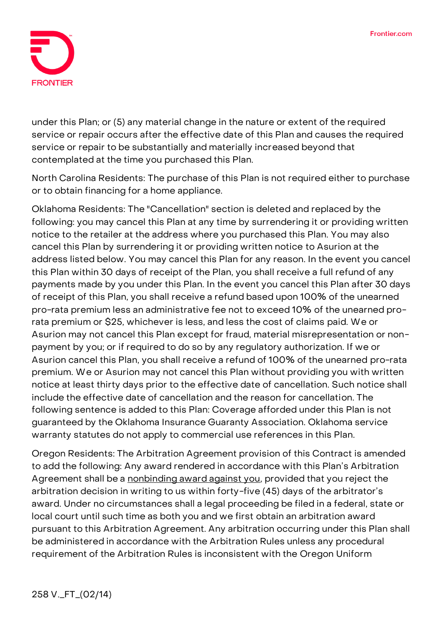

under this Plan; or (5) any material change in the nature or extent of the required service or repair occurs after the effective date of this Plan and causes the required service or repair to be substantially and materially increased beyond that contemplated at the time you purchased this Plan.

**North Carolina Residents:** The purchase of this Plan is not required either to purchase or to obtain financing for a home appliance.

**Oklahoma Residents:** The "Cancellation" section is deleted and replaced by the following: you may cancel this Plan at any time by surrendering it or providing written notice to the retailer at the address where you purchased this Plan. You may also cancel this Plan by surrendering it or providing written notice to Asurion at the address listed below. You may cancel this Plan for any reason. In the event you cancel this Plan within 30 days of receipt of the Plan, you shall receive a full refund of any payments made by you under this Plan. In the event you cancel this Plan after 30 days of receipt of this Plan, you shall receive a refund based upon 100% of the unearned pro-rata premium less an administrative fee not to exceed 10% of the unearned prorata premium or \$25, whichever is less, and less the cost of claims paid. We or Asurion may not cancel this Plan except for fraud, material misrepresentation or nonpayment by you; or if required to do so by any regulatory authorization. If we or Asurion cancel this Plan, you shall receive a refund of 100% of the unearned pro-rata premium. We or Asurion may not cancel this Plan without providing you with written notice at least thirty days prior to the effective date of cancellation. Such notice shall include the effective date of cancellation and the reason for cancellation. The following sentence is added to this Plan: Coverage afforded under this Plan is not guaranteed by the Oklahoma Insurance Guaranty Association. Oklahoma service warranty statutes do not apply to commercial use references in this Plan.

**Oregon Residents:** The Arbitration Agreement provision of this Contract is amended to add the following: **Any award rendered in accordance with this Plan's Arbitration Agreement shall be a nonbinding award against you,** provided that you reject the arbitration decision in writing to us within forty-five (45) days of the arbitrator's award. Under no circumstances shall a legal proceeding be filed in a federal, state or local court until such time as both you and we first obtain an arbitration award pursuant to this Arbitration Agreement. Any arbitration occurring under this Plan shall be administered in accordance with the Arbitration Rules unless any procedural requirement of the Arbitration Rules is inconsistent with the Oregon Uniform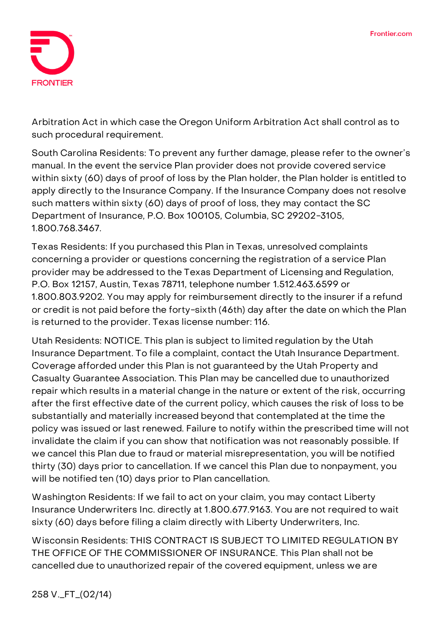

Arbitration Act in which case the Oregon Uniform Arbitration Act shall control as to such procedural requirement.

**South Carolina Residents:** To prevent any further damage, please refer to the owner's manual. In the event the service Plan provider does not provide covered service within sixty (60) days of proof of loss by the Plan holder, the Plan holder is entitled to apply directly to the Insurance Company. If the Insurance Company does not resolve such matters within sixty (60) days of proof of loss, they may contact the SC Department of Insurance, P.O. Box 100105, Columbia, SC 29202-3105, 1.800.768.3467.

**Texas Residents:** If you purchased this Plan in Texas, unresolved complaints concerning a provider or questions concerning the registration of a service Plan provider may be addressed to the Texas Department of Licensing and Regulation, P.O. Box 12157, Austin, Texas 78711, telephone number 1.512.463.6599 or 1.800.803.9202. You may apply for reimbursement directly to the insurer if a refund or credit is not paid before the forty-sixth (46th) day after the date on which the Plan is returned to the provider. Texas license number: 116.

**Utah Residents: NOTICE. This plan is subject to limited regulation by the Utah Insurance Department. To file a complaint, contact the Utah Insurance Department.** Coverage afforded under this Plan is not guaranteed by the Utah Property and Casualty Guarantee Association. This Plan may be cancelled due to unauthorized repair which results in a material change in the nature or extent of the risk, occurring after the first effective date of the current policy, which causes the risk of loss to be substantially and materially increased beyond that contemplated at the time the policy was issued or last renewed. Failure to notify within the prescribed time will not invalidate the claim if you can show that notification was not reasonably possible. If we cancel this Plan due to fraud or material misrepresentation, you will be notified thirty (30) days prior to cancellation. If we cancel this Plan due to nonpayment, you will be notified ten (10) days prior to Plan cancellation.

**Washington Residents:** If we fail to act on your claim, you may contact Liberty Insurance Underwriters Inc. directly at 1.800.677.9163. You are not required to wait sixty (60) days before filing a claim directly with Liberty Underwriters, Inc.

**Wisconsin Residents: THIS CONTRACT IS SUBJECT TO LIMITED REGULATION BY THE OFFICE OF THE COMMISSIONER OF INSURANCE.** This Plan shall not be cancelled due to unauthorized repair of the covered equipment, unless we are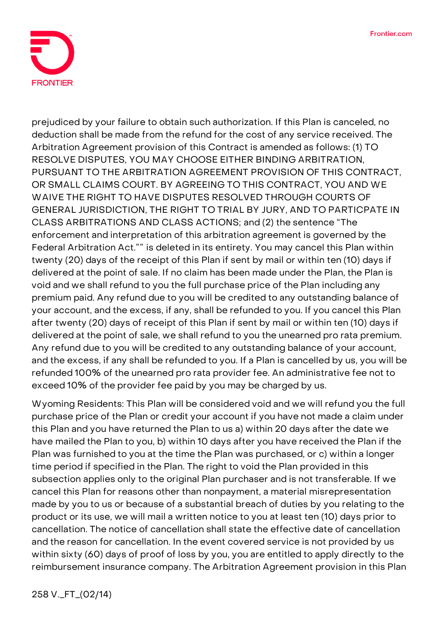

prejudiced by your failure to obtain such authorization. If this Plan is canceled, no deduction shall be made from the refund for the cost of any service received. The Arbitration Agreement provision of this Contract is amended as follows: (1) **TO RESOLVE DISPUTES, YOU MAY CHOOSE EITHER BINDING ARBITRATION, PURSUANT TO THE ARBITRATION AGREEMENT PROVISION OF THIS CONTRACT, OR SMALL CLAIMS COURT. BY AGREEING TO THIS CONTRACT, YOU AND WE WAIVE THE RIGHT TO HAVE DISPUTES RESOLVED THROUGH COURTS OF GENERAL JURISDICTION, THE RIGHT TO TRIAL BY JURY, AND TO PARTICPATE IN CLASS ARBITRATIONS AND CLASS ACTIONS;** and (2) the sentence "The enforcement and interpretation of this arbitration agreement is governed by the Federal Arbitration Act."" is deleted in its entirety. You may cancel this Plan within twenty (20) days of the receipt of this Plan if sent by mail or within ten (10) days if delivered at the point of sale. If no claim has been made under the Plan, the Plan is void and we shall refund to you the full purchase price of the Plan including any premium paid. Any refund due to you will be credited to any outstanding balance of your account, and the excess, if any, shall be refunded to you. If you cancel this Plan after twenty (20) days of receipt of this Plan if sent by mail or within ten (10) days if delivered at the point of sale, we shall refund to you the unearned pro rata premium. Any refund due to you will be credited to any outstanding balance of your account, and the excess, if any shall be refunded to you. If a Plan is cancelled by us, you will be refunded 100% of the unearned pro rata provider fee. An administrative fee not to exceed 10% of the provider fee paid by you may be charged by us.

**Wyoming Residents:** This Plan will be considered void and we will refund you the full purchase price of the Plan or credit your account if you have not made a claim under this Plan and you have returned the Plan to us a) within 20 days after the date we have mailed the Plan to you, b) within 10 days after you have received the Plan if the Plan was furnished to you at the time the Plan was purchased, or c) within a longer time period if specified in the Plan. The right to void the Plan provided in this subsection applies only to the original Plan purchaser and is not transferable. If we cancel this Plan for reasons other than nonpayment, a material misrepresentation made by you to us or because of a substantial breach of duties by you relating to the product or its use, we will mail a written notice to you at least ten (10) days prior to cancellation. The notice of cancellation shall state the effective date of cancellation and the reason for cancellation. In the event covered service is not provided by us within sixty (60) days of proof of loss by you, you are entitled to apply directly to the reimbursement insurance company. The Arbitration Agreement provision in this Plan